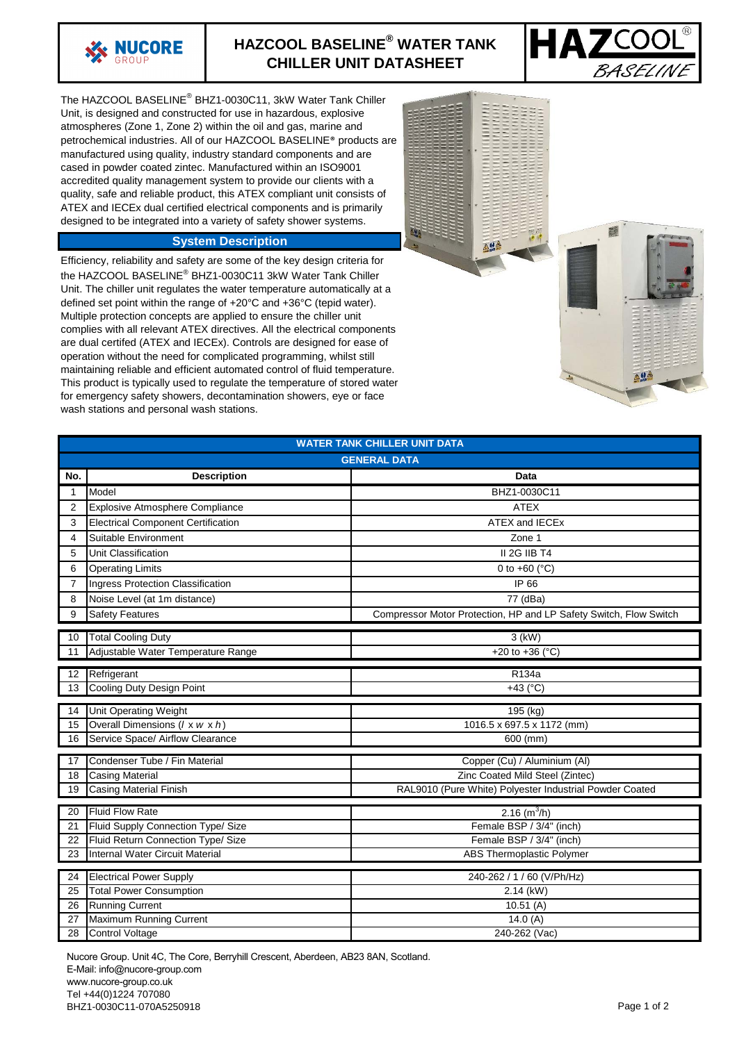

## **HAZCOOL BASELINE® WATER TANK CHILLER UNIT DATASHEET**



The HAZCOOL BASELINE® BHZ1-0030C11, 3kW Water Tank Chiller Unit, is designed and constructed for use in hazardous, explosive atmospheres (Zone 1, Zone 2) within the oil and gas, marine and petrochemical industries. All of our HAZCOOL BASELINE® products are manufactured using quality, industry standard components and are cased in powder coated zintec. Manufactured within an ISO9001 accredited quality management system to provide our clients with a quality, safe and reliable product, this ATEX compliant unit consists of ATEX and IECEx dual certified electrical components and is primarily designed to be integrated into a variety of safety shower systems.

## **System Description**

Efficiency, reliability and safety are some of the key design criteria for the HAZCOOL BASELINE® BHZ1-0030C11 3kW Water Tank Chiller Unit. The chiller unit regulates the water temperature automatically at a defined set point within the range of +20°C and +36°C (tepid water). Multiple protection concepts are applied to ensure the chiller unit complies with all relevant ATEX directives. All the electrical components are dual certifed (ATEX and IECEx). Controls are designed for ease of operation without the need for complicated programming, whilst still maintaining reliable and efficient automated control of fluid temperature. This product is typically used to regulate the temperature of stored water for emergency safety showers, decontamination showers, eye or face wash stations and personal wash stations.



| <b>WATER TANK CHILLER UNIT DATA</b>                                                      |                                           |                                                                   |
|------------------------------------------------------------------------------------------|-------------------------------------------|-------------------------------------------------------------------|
| <b>GENERAL DATA</b>                                                                      |                                           |                                                                   |
|                                                                                          |                                           |                                                                   |
| No.                                                                                      | <b>Description</b>                        | Data                                                              |
| 1                                                                                        | Model                                     | BHZ1-0030C11                                                      |
| 2                                                                                        | Explosive Atmosphere Compliance           | <b>ATEX</b>                                                       |
| 3                                                                                        | <b>Electrical Component Certification</b> | ATEX and IECEx                                                    |
| 4                                                                                        | Suitable Environment                      | Zone 1                                                            |
| 5                                                                                        | Unit Classification                       | II 2G IIB T4                                                      |
| 6                                                                                        | <b>Operating Limits</b>                   | 0 to $+60$ ( $^{\circ}$ C)                                        |
| 7                                                                                        | Ingress Protection Classification         | IP 66                                                             |
| 8                                                                                        | Noise Level (at 1m distance)              | 77 (dBa)                                                          |
| 9                                                                                        | <b>Safety Features</b>                    | Compressor Motor Protection, HP and LP Safety Switch, Flow Switch |
| 10                                                                                       | <b>Total Cooling Duty</b>                 | $3$ (kW)                                                          |
| 11                                                                                       | Adjustable Water Temperature Range        | +20 to +36 ( $^{\circ}$ C)                                        |
|                                                                                          |                                           |                                                                   |
| 12                                                                                       | Refrigerant                               | R <sub>134</sub> a                                                |
| 13                                                                                       | Cooling Duty Design Point                 | +43 $(^{\circ}C)$                                                 |
| 14                                                                                       | Unit Operating Weight                     | 195 (kg)                                                          |
| 15                                                                                       | Overall Dimensions (/ x w x h)            | 1016.5 x 697.5 x 1172 (mm)                                        |
| 16                                                                                       | Service Space/ Airflow Clearance          | 600 (mm)                                                          |
| Condenser Tube / Fin Material<br>17                                                      |                                           |                                                                   |
| 18                                                                                       | <b>Casing Material</b>                    | Copper (Cu) / Aluminium (Al)<br>Zinc Coated Mild Steel (Zintec)   |
| 19                                                                                       |                                           |                                                                   |
| <b>Casing Material Finish</b><br>RAL9010 (Pure White) Polyester Industrial Powder Coated |                                           |                                                                   |
| 20                                                                                       | <b>Fluid Flow Rate</b>                    | 2.16 $(m^3/h)$                                                    |
| 21                                                                                       | Fluid Supply Connection Type/ Size        | Female BSP / 3/4" (inch)                                          |
| 22                                                                                       | Fluid Return Connection Type/ Size        | Female BSP / 3/4" (inch)                                          |
| 23                                                                                       | Internal Water Circuit Material           | ABS Thermoplastic Polymer                                         |
|                                                                                          | <b>Electrical Power Supply</b>            | 240-262 / 1 / 60 (V/Ph/Hz)                                        |
| 24<br>25                                                                                 | <b>Total Power Consumption</b>            | 2.14 (kW)                                                         |
| 26                                                                                       | <b>Running Current</b>                    | 10.51(A)                                                          |
| 27                                                                                       | Maximum Running Current                   | 14.0 $(A)$                                                        |
| 28                                                                                       | <b>Control Voltage</b>                    | 240-262 (Vac)                                                     |

Nucore Group. Unit 4C, The Core, Berryhill Crescent, Aberdeen, AB23 8AN, Scotland. E-Mail: info@nucore-group.com www.nucore-group.co.uk Tel +44(0)1224 707080 BHZ1-0030C11-070A5250918 Page 1 of 2